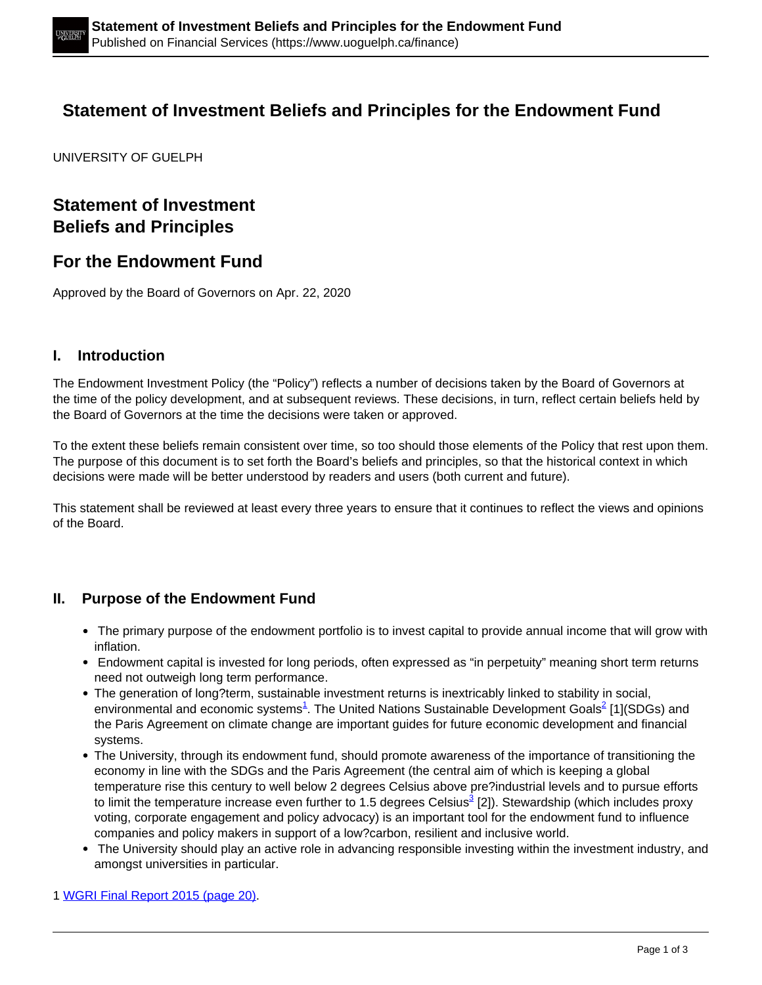# **Statement of Investment Beliefs and Principles for the Endowment Fund**

UNIVERSITY OF GUELPH

## **Statement of Investment Beliefs and Principles**

## **For the Endowment Fund**

Approved by the Board of Governors on Apr. 22, 2020

#### **I. Introduction**

The Endowment Investment Policy (the "Policy") reflects a number of decisions taken by the Board of Governors at the time of the policy development, and at subsequent reviews. These decisions, in turn, reflect certain beliefs held by the Board of Governors at the time the decisions were taken or approved.

To the extent these beliefs remain consistent over time, so too should those elements of the Policy that rest upon them. The purpose of this document is to set forth the Board's beliefs and principles, so that the historical context in which decisions were made will be better understood by readers and users (both current and future).

This statement shall be reviewed at least every three years to ensure that it continues to reflect the views and opinions of the Board.

### **II. Purpose of the Endowment Fund**

- The primary purpose of the endowment portfolio is to invest capital to provide annual income that will grow with inflation.
- Endowment capital is invested for long periods, often expressed as "in perpetuity" meaning short term returns need not outweigh long term performance.
- The generation of long?term, sustainable investment returns is inextricably linked to stability in social, environmental and economic systems<sup>1</sup>. The United Nations Sustainable Development Goals<sup>2</sup> [1](SDGs) and the Paris Agreement on climate change are important guides for future economic development and financial systems.
- The University, through its endowment fund, should promote awareness of the importance of transitioning the economy in line with the SDGs and the Paris Agreement (the central aim of which is keeping a global temperature rise this century to well below 2 degrees Celsius above pre?industrial levels and to pursue efforts to limit the temperature increase even further to 1.5 degrees Celsius<sup>3</sup> [2]). Stewardship (which includes proxy voting, corporate engagement and policy advocacy) is an important tool for the endowment fund to influence companies and policy makers in support of a low?carbon, resilient and inclusive world.
- The University should play an active role in advancing responsible investing within the investment industry, and amongst universities in particular.

1 WGRI Final Report 2015 (page 20).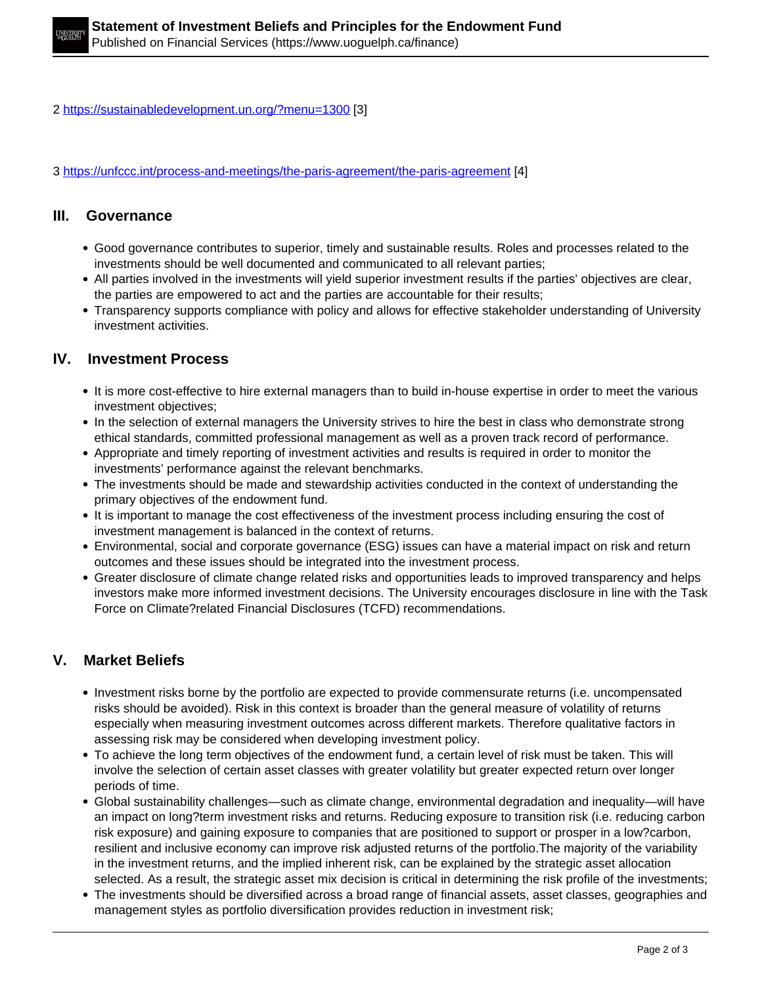2 https://sustainabledevelopment.un.org/?menu=1300 [3]

3 https://unfccc.int/process-and-meetings/the-paris-agreement/the-paris-agreement [4]

### **III. Governance**

- Good governance contributes to superior, timely and sustainable results. Roles and processes related to the investments should be well documented and communicated to all relevant parties;
- All parties involved in the investments will yield superior investment results if the parties' objectives are clear, the parties are empowered to act and the parties are accountable for their results;
- Transparency supports compliance with policy and allows for effective stakeholder understanding of University investment activities.

### **IV. Investment Process**

- It is more cost-effective to hire external managers than to build in-house expertise in order to meet the various investment objectives;
- In the selection of external managers the University strives to hire the best in class who demonstrate strong ethical standards, committed professional management as well as a proven track record of performance.
- Appropriate and timely reporting of investment activities and results is required in order to monitor the investments' performance against the relevant benchmarks.
- The investments should be made and stewardship activities conducted in the context of understanding the primary objectives of the endowment fund.
- It is important to manage the cost effectiveness of the investment process including ensuring the cost of investment management is balanced in the context of returns.
- Environmental, social and corporate governance (ESG) issues can have a material impact on risk and return outcomes and these issues should be integrated into the investment process.
- Greater disclosure of climate change related risks and opportunities leads to improved transparency and helps investors make more informed investment decisions. The University encourages disclosure in line with the Task Force on Climate?related Financial Disclosures (TCFD) recommendations.

## **V. Market Beliefs**

- Investment risks borne by the portfolio are expected to provide commensurate returns (i.e. uncompensated risks should be avoided). Risk in this context is broader than the general measure of volatility of returns especially when measuring investment outcomes across different markets. Therefore qualitative factors in assessing risk may be considered when developing investment policy.
- To achieve the long term objectives of the endowment fund, a certain level of risk must be taken. This will involve the selection of certain asset classes with greater volatility but greater expected return over longer periods of time.
- Global sustainability challenges—such as climate change, environmental degradation and inequality—will have an impact on long?term investment risks and returns. Reducing exposure to transition risk (i.e. reducing carbon risk exposure) and gaining exposure to companies that are positioned to support or prosper in a low?carbon, resilient and inclusive economy can improve risk adjusted returns of the portfolio.The majority of the variability in the investment returns, and the implied inherent risk, can be explained by the strategic asset allocation selected. As a result, the strategic asset mix decision is critical in determining the risk profile of the investments;
- The investments should be diversified across a broad range of financial assets, asset classes, geographies and management styles as portfolio diversification provides reduction in investment risk;